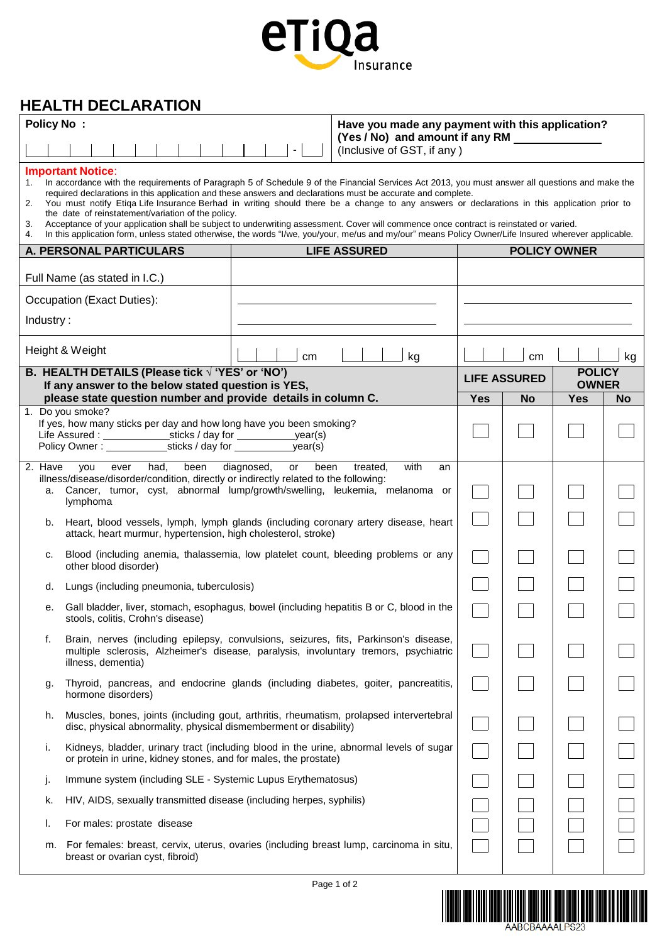

## **HEALTH DECLARATION**

| <b>Policy No:</b>                                                                                                                                                                                                                                                                                                                                                                                                                                                                                                                                                                                                                                                                                                                                                                                                      |                                                                                                                                                                                                    | Have you made any payment with this application?              |                     |                     |                     |                               |           |  |  |  |
|------------------------------------------------------------------------------------------------------------------------------------------------------------------------------------------------------------------------------------------------------------------------------------------------------------------------------------------------------------------------------------------------------------------------------------------------------------------------------------------------------------------------------------------------------------------------------------------------------------------------------------------------------------------------------------------------------------------------------------------------------------------------------------------------------------------------|----------------------------------------------------------------------------------------------------------------------------------------------------------------------------------------------------|---------------------------------------------------------------|---------------------|---------------------|---------------------|-------------------------------|-----------|--|--|--|
|                                                                                                                                                                                                                                                                                                                                                                                                                                                                                                                                                                                                                                                                                                                                                                                                                        |                                                                                                                                                                                                    | (Yes / No) and amount if any RM<br>(Inclusive of GST, if any) |                     |                     |                     |                               |           |  |  |  |
| <b>Important Notice:</b><br>1. In accordance with the requirements of Paragraph 5 of Schedule 9 of the Financial Services Act 2013, you must answer all questions and make the<br>required declarations in this application and these answers and declarations must be accurate and complete.<br>You must notify Etiqa Life Insurance Berhad in writing should there be a change to any answers or declarations in this application prior to<br>2.<br>the date of reinstatement/variation of the policy.<br>Acceptance of your application shall be subject to underwriting assessment. Cover will commence once contract is reinstated or varied.<br>3.<br>In this application form, unless stated otherwise, the words "I/we, you/your, me/us and my/our" means Policy Owner/Life Insured wherever applicable.<br>4. |                                                                                                                                                                                                    |                                                               |                     |                     |                     |                               |           |  |  |  |
|                                                                                                                                                                                                                                                                                                                                                                                                                                                                                                                                                                                                                                                                                                                                                                                                                        | <b>A. PERSONAL PARTICULARS</b>                                                                                                                                                                     |                                                               | <b>LIFE ASSURED</b> | <b>POLICY OWNER</b> |                     |                               |           |  |  |  |
|                                                                                                                                                                                                                                                                                                                                                                                                                                                                                                                                                                                                                                                                                                                                                                                                                        | Full Name (as stated in I.C.)                                                                                                                                                                      |                                                               |                     |                     |                     |                               |           |  |  |  |
|                                                                                                                                                                                                                                                                                                                                                                                                                                                                                                                                                                                                                                                                                                                                                                                                                        | Occupation (Exact Duties):                                                                                                                                                                         |                                                               |                     |                     |                     |                               |           |  |  |  |
| Industry:                                                                                                                                                                                                                                                                                                                                                                                                                                                                                                                                                                                                                                                                                                                                                                                                              |                                                                                                                                                                                                    |                                                               |                     |                     |                     |                               |           |  |  |  |
|                                                                                                                                                                                                                                                                                                                                                                                                                                                                                                                                                                                                                                                                                                                                                                                                                        | Height & Weight                                                                                                                                                                                    | kg                                                            |                     | cm                  |                     | kg                            |           |  |  |  |
|                                                                                                                                                                                                                                                                                                                                                                                                                                                                                                                                                                                                                                                                                                                                                                                                                        | B. HEALTH DETAILS (Please tick $\sqrt{YES'}$ or 'NO')<br>If any answer to the below stated question is YES,                                                                                        |                                                               |                     |                     | <b>LIFE ASSURED</b> | <b>POLICY</b><br><b>OWNER</b> |           |  |  |  |
|                                                                                                                                                                                                                                                                                                                                                                                                                                                                                                                                                                                                                                                                                                                                                                                                                        | please state question number and provide details in column C.                                                                                                                                      |                                                               |                     | <b>Yes</b>          | <b>No</b>           | <b>Yes</b>                    | <b>No</b> |  |  |  |
|                                                                                                                                                                                                                                                                                                                                                                                                                                                                                                                                                                                                                                                                                                                                                                                                                        | 1. Do you smoke?<br>If yes, how many sticks per day and how long have you been smoking?<br>Policy Owner: sticks / day for year(s)                                                                  |                                                               |                     |                     |                     |                               |           |  |  |  |
| with<br>2. Have<br>been<br>diagnosed,<br>been<br>you<br>ever<br>had,<br>or<br>treated,<br>an<br>illness/disease/disorder/condition, directly or indirectly related to the following:<br>a. Cancer, tumor, cyst, abnormal lump/growth/swelling, leukemia, melanoma or<br>lymphoma<br>Heart, blood vessels, lymph, lymph glands (including coronary artery disease, heart<br>b.                                                                                                                                                                                                                                                                                                                                                                                                                                          |                                                                                                                                                                                                    |                                                               |                     |                     |                     |                               |           |  |  |  |
| c.                                                                                                                                                                                                                                                                                                                                                                                                                                                                                                                                                                                                                                                                                                                                                                                                                     | attack, heart murmur, hypertension, high cholesterol, stroke)<br>Blood (including anemia, thalassemia, low platelet count, bleeding problems or any<br>other blood disorder)                       |                                                               |                     |                     |                     |                               |           |  |  |  |
| d.                                                                                                                                                                                                                                                                                                                                                                                                                                                                                                                                                                                                                                                                                                                                                                                                                     | Lungs (including pneumonia, tuberculosis)                                                                                                                                                          |                                                               |                     |                     |                     |                               |           |  |  |  |
| е.                                                                                                                                                                                                                                                                                                                                                                                                                                                                                                                                                                                                                                                                                                                                                                                                                     | Gall bladder, liver, stomach, esophagus, bowel (including hepatitis B or C, blood in the<br>stools, colitis, Crohn's disease)                                                                      |                                                               |                     |                     |                     |                               |           |  |  |  |
| f.                                                                                                                                                                                                                                                                                                                                                                                                                                                                                                                                                                                                                                                                                                                                                                                                                     | Brain, nerves (including epilepsy, convulsions, seizures, fits, Parkinson's disease,<br>multiple sclerosis, Alzheimer's disease, paralysis, involuntary tremors, psychiatric<br>illness, dementia) |                                                               |                     |                     |                     |                               |           |  |  |  |
| g.                                                                                                                                                                                                                                                                                                                                                                                                                                                                                                                                                                                                                                                                                                                                                                                                                     | Thyroid, pancreas, and endocrine glands (including diabetes, goiter, pancreatitis,<br>hormone disorders)                                                                                           |                                                               |                     |                     |                     |                               |           |  |  |  |
| h.                                                                                                                                                                                                                                                                                                                                                                                                                                                                                                                                                                                                                                                                                                                                                                                                                     | Muscles, bones, joints (including gout, arthritis, rheumatism, prolapsed intervertebral<br>disc, physical abnormality, physical dismemberment or disability)                                       |                                                               |                     |                     |                     |                               |           |  |  |  |
| i.                                                                                                                                                                                                                                                                                                                                                                                                                                                                                                                                                                                                                                                                                                                                                                                                                     | Kidneys, bladder, urinary tract (including blood in the urine, abnormal levels of sugar<br>or protein in urine, kidney stones, and for males, the prostate)                                        |                                                               |                     |                     |                     |                               |           |  |  |  |
| j.                                                                                                                                                                                                                                                                                                                                                                                                                                                                                                                                                                                                                                                                                                                                                                                                                     | Immune system (including SLE - Systemic Lupus Erythematosus)                                                                                                                                       |                                                               |                     |                     |                     |                               |           |  |  |  |
| k.                                                                                                                                                                                                                                                                                                                                                                                                                                                                                                                                                                                                                                                                                                                                                                                                                     | HIV, AIDS, sexually transmitted disease (including herpes, syphilis)                                                                                                                               |                                                               |                     |                     |                     |                               |           |  |  |  |
| L.                                                                                                                                                                                                                                                                                                                                                                                                                                                                                                                                                                                                                                                                                                                                                                                                                     | For males: prostate disease                                                                                                                                                                        |                                                               |                     |                     |                     |                               |           |  |  |  |
| m.                                                                                                                                                                                                                                                                                                                                                                                                                                                                                                                                                                                                                                                                                                                                                                                                                     | For females: breast, cervix, uterus, ovaries (including breast lump, carcinoma in situ,<br>breast or ovarian cyst, fibroid)                                                                        |                                                               |                     |                     |                     |                               |           |  |  |  |